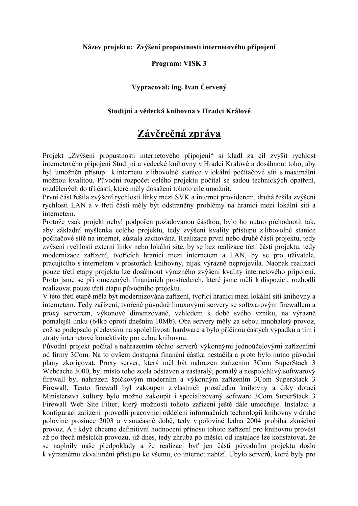#### Název projektu: Zvýšení propustnosti internetového připojení

### **Program: VISK 3**

## Vypracoval: ing. Ivan Červený

#### Studijní a vědecká knihovna v Hradci Králové

# Závěrečná zpráva

Projekt "Zvýšení propustnosti internetového připojení" si kladl za cíl zvýšit rychlost internetového připojení Studijní a vědecké knihovny v Hradci Králové a dosáhnout toho, aby byl umožněn přístup k internetu z libovolné stanice v lokální počítačové síti s maximální možnou kvalitou. Původní rozpočet celého projektu počítal se sadou technických opatření, rozdělených do tří částí, které měly dosažení tohoto cíle umožnit.

První část řešila zvýšení rychlosti linky mezi SVK a internet providerem, druhá řešila zvýšení rychlosti LAN a v třetí části měly být odstraněny problémy na hranici mezi lokální sítí a internetem

Protože však projekt nebyl podpořen požadovanou částkou, bylo ho nutno přehodnotit tak, aby základní myšlenka celého projektu, tedy zvýšení kvality přístupu z libovolné stanice počítačové sítě na internet, zůstala zachována. Realizace první nebo druhé části projektu, tedy zvýšení rychlosti externí linky nebo lokální sítě, by se bez realizace třetí části projektu, tedy modernizace zařízení, tvořících hranici mezi internetem a LAN, by se pro uživatele, pracujícího s internetem v prostorách knihovny, nijak výrazně neprojevila. Naopak realizací pouze třetí etapy projektu lze dosáhnout výrazného zvýšení kvality internetového připojení, Proto isme se při omezených finančních prostředcích, které isme měli k dispozici, rozhodli realizovat pouze třetí etapu původního projektu.

V této třetí etapě měla být modernizována zařízení, tvořící hranici mezi lokální sítí knihovny a internetem. Tedy zařízení, tvořené původně linuxovými servery se softwarovým firewallem a proxy serverem, výkonově dimenzované, vzhledem k době svého vzniku, na výrazně pomalejší linku (64kb oproti dnešním 10Mb). Oba servery měly za sebou mnohaletý provoz, což se podepsalo především na spolehlivosti hardware a bylo příčinou častých výpadků a tím i ztráty internetové konektivity pro celou knihovnu.

Původní projekt počítal s nahrazením těchto serverů výkonnými jednoúčelovými zařízeními od firmy 3Com. Na to ovšem dostupná finanční částka nestačila a proto bylo nutno původní plány zkorigovat. Proxy server, který měl být nahrazen zařízením 3Com SuperStack 3 Webcache 3000, byl místo toho zcela odstaven a zastaralý, pomalý a nespolehlivý softwarový firewall byl nahrazen špičkovým moderním a výkonným zařízením 3Com SuperStack 3 Firewall. Tento firewall byl zakoupen z vlastních prostředků knihovny a díky dotaci Ministerstva kultury bylo možno zakoupit i specializovaný software 3Com SuperStack 3 Firewall Web Site Filter, který možnosti tohoto zařízení ještě dále umocňuje. Instalaci a konfiguraci zařízení provedli pracovníci oddělení informačních technologií knihovny v druhé polovině prosince 2003 a v současné době, tedy v polovině ledna 2004 probíhá zkušební provoz. A i když chceme definitivní hodnocení přínosu tohoto zařízení pro knihovnu provést až po třech měsících provozu, již dnes, tedy zhruba po měsíci od instalace lze konstatovat, že se naplnily naše předpoklady a že realizací byť jen části původního projektu došlo k výraznému zkvalitnění přístupu ke všemu, co internet nabízí. Ubylo serverů, které byly pro